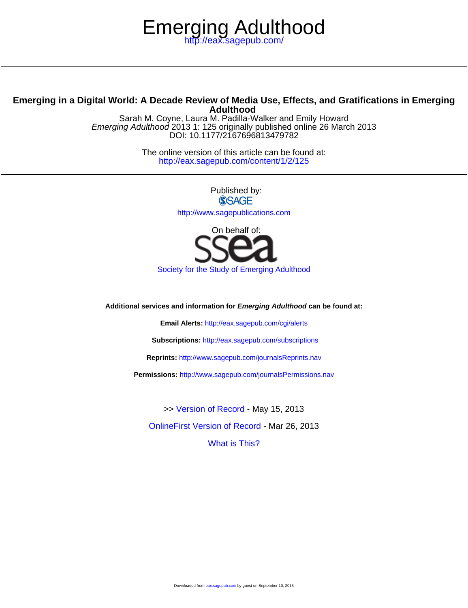# <http://eax.sagepub.com/> Emerging Adulthood

## **Adulthood Emerging in a Digital World: A Decade Review of Media Use, Effects, and Gratifications in Emerging**

DOI: 10.1177/2167696813479782 Emerging Adulthood 2013 1: 125 originally published online 26 March 2013 Sarah M. Coyne, Laura M. Padilla-Walker and Emily Howard

> <http://eax.sagepub.com/content/1/2/125> The online version of this article can be found at:

> > Published by: **SSAGE** <http://www.sagepublications.com>



**Additional services and information for Emerging Adulthood can be found at:**

**Email Alerts:** <http://eax.sagepub.com/cgi/alerts>

**Subscriptions:** <http://eax.sagepub.com/subscriptions>

**Reprints:** <http://www.sagepub.com/journalsReprints.nav>

**Permissions:** <http://www.sagepub.com/journalsPermissions.nav>

>> [Version of Record -](http://eax.sagepub.com/content/1/2/125.full.pdf) May 15, 2013

[OnlineFirst Version of Record -](http://eax.sagepub.com/content/early/2013/03/05/2167696813479782.full.pdf) Mar 26, 2013

[What is This?](http://online.sagepub.com/site/sphelp/vorhelp.xhtml)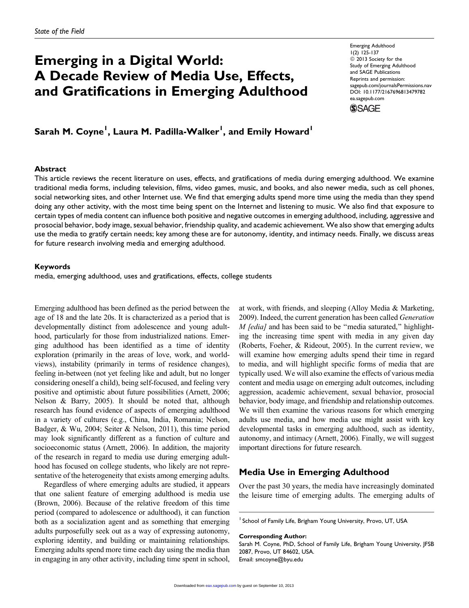# Emerging in a Digital World: A Decade Review of Media Use, Effects, and Gratifications in Emerging Adulthood

Emerging Adulthood 1(2) 125-137  $\odot$  2013 Society for the Study of Emerging Adulthood and SAGE Publications Reprints and permission: [sagepub.com/journalsPermissions.nav](http://www.sagepub.com/journalsPermissions.nav) DOI: 10.1177/2167696813479782 [ea.sagepub.com](http://ea.sagepub.com)

**SSAGE** 

Sarah M. Coyne<sup>l</sup>, Laura M. Padilla-Walker<sup>l</sup>, and Emily Howard<sup>l</sup>

### Abstract

This article reviews the recent literature on uses, effects, and gratifications of media during emerging adulthood. We examine traditional media forms, including television, films, video games, music, and books, and also newer media, such as cell phones, social networking sites, and other Internet use. We find that emerging adults spend more time using the media than they spend doing any other activity, with the most time being spent on the Internet and listening to music. We also find that exposure to certain types of media content can influence both positive and negative outcomes in emerging adulthood, including, aggressive and prosocial behavior, body image, sexual behavior, friendship quality, and academic achievement. We also show that emerging adults use the media to gratify certain needs; key among these are for autonomy, identity, and intimacy needs. Finally, we discuss areas for future research involving media and emerging adulthood.

#### Keywords

media, emerging adulthood, uses and gratifications, effects, college students

Emerging adulthood has been defined as the period between the age of 18 and the late 20s. It is characterized as a period that is developmentally distinct from adolescence and young adulthood, particularly for those from industrialized nations. Emerging adulthood has been identified as a time of identity exploration (primarily in the areas of love, work, and worldviews), instability (primarily in terms of residence changes), feeling in-between (not yet feeling like and adult, but no longer considering oneself a child), being self-focused, and feeling very positive and optimistic about future possibilities (Arnett, 2006; Nelson & Barry, 2005). It should be noted that, although research has found evidence of aspects of emerging adulthood in a variety of cultures (e.g., China, India, Romania; Nelson, Badger, & Wu, 2004; Seiter & Nelson, 2011), this time period may look significantly different as a function of culture and socioeconomic status (Arnett, 2006). In addition, the majority of the research in regard to media use during emerging adulthood has focused on college students, who likely are not representative of the heterogeneity that exists among emerging adults.

Regardless of where emerging adults are studied, it appears that one salient feature of emerging adulthood is media use (Brown, 2006). Because of the relative freedom of this time period (compared to adolescence or adulthood), it can function both as a socialization agent and as something that emerging adults purposefully seek out as a way of expressing autonomy, exploring identity, and building or maintaining relationships. Emerging adults spend more time each day using the media than in engaging in any other activity, including time spent in school,

at work, with friends, and sleeping (Alloy Media & Marketing, 2009). Indeed, the current generation has been called *Generation* M [edia] and has been said to be "media saturated," highlighting the increasing time spent with media in any given day (Roberts, Foeher, & Rideout, 2005). In the current review, we will examine how emerging adults spend their time in regard to media, and will highlight specific forms of media that are typically used. We will also examine the effects of various media content and media usage on emerging adult outcomes, including aggression, academic achievement, sexual behavior, prosocial behavior, body image, and friendship and relationship outcomes. We will then examine the various reasons for which emerging adults use media, and how media use might assist with key developmental tasks in emerging adulthood, such as identity, autonomy, and intimacy (Arnett, 2006). Finally, we will suggest important directions for future research.

## Media Use in Emerging Adulthood

Over the past 30 years, the media have increasingly dominated the leisure time of emerging adults. The emerging adults of

#### Corresponding Author:

Sarah M. Coyne, PhD, School of Family Life, Brigham Young University, JFSB 2087, Provo, UT 84602, USA. Email: smcoyne@byu.edu

<sup>&</sup>lt;sup>1</sup> School of Family Life, Brigham Young University, Provo, UT, USA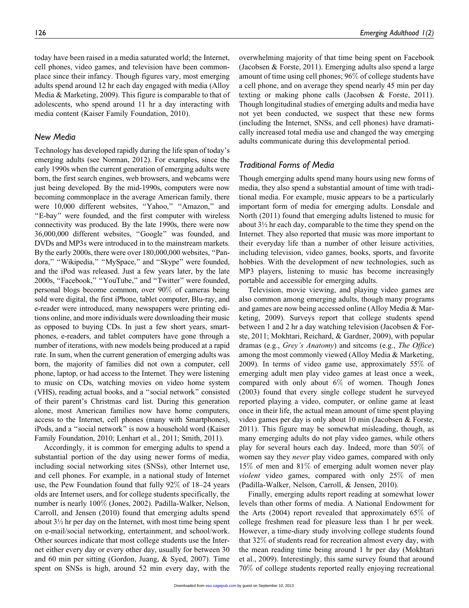today have been raised in a media saturated world; the Internet, cell phones, video games, and television have been commonplace since their infancy. Though figures vary, most emerging adults spend around 12 hr each day engaged with media (Alloy Media & Marketing, 2009). This figure is comparable to that of adolescents, who spend around 11 hr a day interacting with media content (Kaiser Family Foundation, 2010).

## New Media

Technology has developed rapidly during the life span of today's emerging adults (see Norman, 2012). For examples, since the early 1990s when the current generation of emerging adults were born, the first search engines, web browsers, and webcams were just being developed. By the mid-1990s, computers were now becoming commonplace in the average American family, there were 10,000 different websites, "Yahoo," "Amazon," and ''E-bay'' were founded, and the first computer with wireless connectivity was produced. By the late 1990s, there were now 36,000,000 different websites, ''Google'' was founded, and DVDs and MP3s were introduced in to the mainstream markets. By the early 2000s, there were over 180,000,000 websites, ''Pandora," "Wikipedia," "MySpace," and "Skype" were founded, and the iPod was released. Just a few years later, by the late 2000s, "Facebook," "YouTube," and "Twitter" were founded, personal blogs become common, over 90% of cameras being sold were digital, the first iPhone, tablet computer, Blu-ray, and e-reader were introduced, many newspapers were printing editions online, and more individuals were downloading their music as opposed to buying CDs. In just a few short years, smartphones, e-readers, and tablet computers have gone through a number of iterations, with new models being produced at a rapid rate. In sum, when the current generation of emerging adults was born, the majority of families did not own a computer, cell phone, laptop, or had access to the Internet. They were listening to music on CDs, watching movies on video home system (VHS), reading actual books, and a ''social network'' consisted of their parent's Christmas card list. During this generation alone, most American families now have home computers, access to the Internet, cell phones (many with Smartphones), iPods, and a ''social network'' is now a household word (Kaiser Family Foundation, 2010; Lenhart et al., 2011; Smith, 2011).

Accordingly, it is common for emerging adults to spend a substantial portion of the day using newer forms of media, including social networking sites (SNSs), other Internet use, and cell phones. For example, in a national study of Internet use, the Pew Foundation found that fully 92% of 18–24 years olds are Internet users, and for college students specifically, the number is nearly 100% (Jones, 2002). Padilla-Walker, Nelson, Carroll, and Jensen (2010) found that emerging adults spend about 3½ hr per day on the Internet, with most time being spent on e-mail/social networking, entertainment, and school/work. Other sources indicate that most college students use the Internet either every day or every other day, usually for between 30 and 60 min per sitting (Gordon, Juang, & Syed, 2007). Time spent on SNSs is high, around 52 min every day, with the

overwhelming majority of that time being spent on Facebook (Jacobsen & Forste, 2011). Emerging adults also spend a large amount of time using cell phones; 96% of college students have a cell phone, and on average they spend nearly 45 min per day texting or making phone calls (Jacobsen & Forste, 2011). Though longitudinal studies of emerging adults and media have not yet been conducted, we suspect that these new forms (including the Internet, SNSs, and cell phones) have dramatically increased total media use and changed the way emerging adults communicate during this developmental period.

## Traditional Forms of Media

Though emerging adults spend many hours using new forms of media, they also spend a substantial amount of time with traditional media. For example, music appears to be a particularly important form of media for emerging adults. Lonsdale and North (2011) found that emerging adults listened to music for about 3½ hr each day, comparable to the time they spend on the Internet. They also reported that music was more important to their everyday life than a number of other leisure activities, including television, video games, books, sports, and favorite hobbies. With the development of new technologies, such as MP3 players, listening to music has become increasingly portable and accessible for emerging adults.

Television, movie viewing, and playing video games are also common among emerging adults, though many programs and games are now being accessed online (Alloy Media & Marketing, 2009). Surveys report that college students spend between 1 and 2 hr a day watching television (Jacobsen & Forste, 2011; Mokhtari, Reichard, & Gardner, 2009), with popular dramas (e.g., Grey's Anatomy) and sitcoms (e.g., The Office) among the most commonly viewed (Alloy Media & Marketing, 2009). In terms of video game use, approximately 55% of emerging adult men play video games at least once a week, compared with only about  $6\%$  of women. Though Jones (2003) found that every single college student he surveyed reported playing a video, computer, or online game at least once in their life, the actual mean amount of time spent playing video games per day is only about 10 min (Jacobsen & Forste, 2011). This figure may be somewhat misleading, though, as many emerging adults do not play video games, while others play for several hours each day. Indeed, more than 50% of women say they *never* play video games, compared with only 15% of men and 81% of emerging adult women never play violent video games, compared with only 25% of men (Padilla-Walker, Nelson, Carroll, & Jensen, 2010).

Finally, emerging adults report reading at somewhat lower levels than other forms of media. A National Endowment for the Arts (2004) report revealed that approximately  $65\%$  of college freshmen read for pleasure less than 1 hr per week. However, a time-diary study involving college students found that 32% of students read for recreation almost every day, with the mean reading time being around 1 hr per day (Mokhtari et al., 2009). Interestingly, this same survey found that around 70% of college students reported really enjoying recreational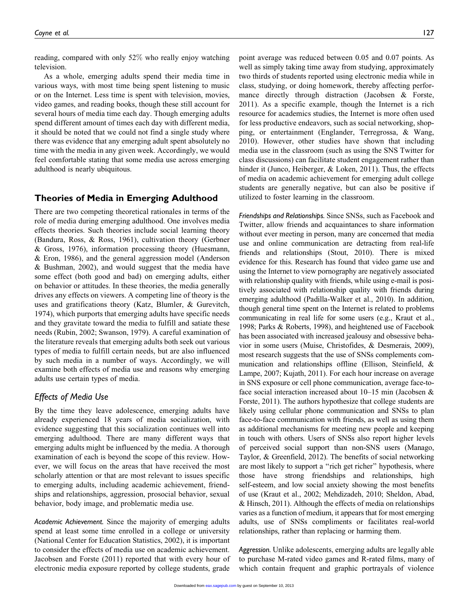reading, compared with only 52% who really enjoy watching television.

As a whole, emerging adults spend their media time in various ways, with most time being spent listening to music or on the Internet. Less time is spent with television, movies, video games, and reading books, though these still account for several hours of media time each day. Though emerging adults spend different amount of times each day with different media, it should be noted that we could not find a single study where there was evidence that any emerging adult spent absolutely no time with the media in any given week. Accordingly, we would feel comfortable stating that some media use across emerging adulthood is nearly ubiquitous.

## Theories of Media in Emerging Adulthood

There are two competing theoretical rationales in terms of the role of media during emerging adulthood. One involves media effects theories. Such theories include social learning theory (Bandura, Ross, & Ross, 1961), cultivation theory (Gerbner & Gross, 1976), information processing theory (Huesmann, & Eron, 1986), and the general aggression model (Anderson & Bushman, 2002), and would suggest that the media have some effect (both good and bad) on emerging adults, either on behavior or attitudes. In these theories, the media generally drives any effects on viewers. A competing line of theory is the uses and gratifications theory (Katz, Blumler, & Gurevitch, 1974), which purports that emerging adults have specific needs and they gravitate toward the media to fulfill and satiate these needs (Rubin, 2002; Swanson, 1979). A careful examination of the literature reveals that emerging adults both seek out various types of media to fulfill certain needs, but are also influenced by such media in a number of ways. Accordingly, we will examine both effects of media use and reasons why emerging adults use certain types of media.

## Effects of Media Use

By the time they leave adolescence, emerging adults have already experienced 18 years of media socialization, with evidence suggesting that this socialization continues well into emerging adulthood. There are many different ways that emerging adults might be influenced by the media. A thorough examination of each is beyond the scope of this review. However, we will focus on the areas that have received the most scholarly attention or that are most relevant to issues specific to emerging adults, including academic achievement, friendships and relationships, aggression, prosocial behavior, sexual behavior, body image, and problematic media use.

Academic Achievement. Since the majority of emerging adults spend at least some time enrolled in a college or university (National Center for Education Statistics, 2002), it is important to consider the effects of media use on academic achievement. Jacobsen and Forste (2011) reported that with every hour of electronic media exposure reported by college students, grade

point average was reduced between 0.05 and 0.07 points. As well as simply taking time away from studying, approximately two thirds of students reported using electronic media while in class, studying, or doing homework, thereby affecting performance directly through distraction (Jacobsen & Forste, 2011). As a specific example, though the Internet is a rich resource for academics studies, the Internet is more often used for less productive endeavors, such as social networking, shopping, or entertainment (Englander, Terregrossa, & Wang, 2010). However, other studies have shown that including media use in the classroom (such as using the SNS Twitter for class discussions) can facilitate student engagement rather than hinder it (Junco, Heiberger, & Loken, 2011). Thus, the effects of media on academic achievement for emerging adult college students are generally negative, but can also be positive if utilized to foster learning in the classroom.

Friendships and Relationships. Since SNSs, such as Facebook and Twitter, allow friends and acquaintances to share information without ever meeting in person, many are concerned that media use and online communication are detracting from real-life friends and relationships (Stout, 2010). There is mixed evidence for this. Research has found that video game use and using the Internet to view pornography are negatively associated with relationship quality with friends, while using e-mail is positively associated with relationship quality with friends during emerging adulthood (Padilla-Walker et al., 2010). In addition, though general time spent on the Internet is related to problems communicating in real life for some users (e.g., Kraut et al., 1998; Parks & Roberts, 1998), and heightened use of Facebook has been associated with increased jealousy and obsessive behavior in some users (Muise, Christofides, & Desmerais, 2009), most research suggests that the use of SNSs complements communication and relationships offline (Ellison, Steinfield, & Lampe, 2007; Kujath, 2011). For each hour increase on average in SNS exposure or cell phone communication, average face-toface social interaction increased about 10–15 min (Jacobsen & Forste, 2011). The authors hypothesize that college students are likely using cellular phone communication and SNSs to plan face-to-face communication with friends, as well as using them as additional mechanisms for meeting new people and keeping in touch with others. Users of SNSs also report higher levels of perceived social support than non-SNS users (Manago, Taylor, & Greenfield, 2012). The benefits of social networking are most likely to support a ''rich get richer'' hypothesis, where those have strong friendships and relationships, high self-esteem, and low social anxiety showing the most benefits of use (Kraut et al., 2002; Mehdizadeh, 2010; Sheldon, Abad, & Hinsch, 2011). Although the effects of media on relationships varies as a function of medium, it appears that for most emerging adults, use of SNSs compliments or facilitates real-world relationships, rather than replacing or harming them.

Aggression. Unlike adolescents, emerging adults are legally able to purchase M-rated video games and R-rated films, many of which contain frequent and graphic portrayals of violence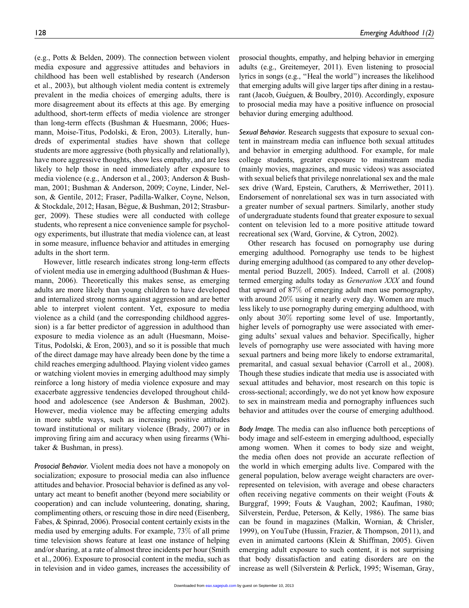(e.g., Potts & Belden, 2009). The connection between violent media exposure and aggressive attitudes and behaviors in childhood has been well established by research (Anderson et al., 2003), but although violent media content is extremely prevalent in the media choices of emerging adults, there is more disagreement about its effects at this age. By emerging adulthood, short-term effects of media violence are stronger than long-term effects (Bushman & Huesmann, 2006; Huesmann, Moise-Titus, Podolski, & Eron, 2003). Literally, hundreds of experimental studies have shown that college students are more aggressive (both physically and relationally), have more aggressive thoughts, show less empathy, and are less likely to help those in need immediately after exposure to media violence (e.g., Anderson et al., 2003; Anderson & Bushman, 2001; Bushman & Anderson, 2009; Coyne, Linder, Nelson, & Gentile, 2012; Fraser, Padilla-Walker, Coyne, Nelson, & Stockdale, 2012; Hasan, Bègue, & Bushman, 2012; Strasburger, 2009). These studies were all conducted with college students, who represent a nice convenience sample for psychology experiments, but illustrate that media violence can, at least in some measure, influence behavior and attitudes in emerging adults in the short term.

However, little research indicates strong long-term effects of violent media use in emerging adulthood (Bushman & Huesmann, 2006). Theoretically this makes sense, as emerging adults are more likely than young children to have developed and internalized strong norms against aggression and are better able to interpret violent content. Yet, exposure to media violence as a child (and the corresponding childhood aggression) is a far better predictor of aggression in adulthood than exposure to media violence as an adult (Huesmann, Moise-Titus, Podolski, & Eron, 2003), and so it is possible that much of the direct damage may have already been done by the time a child reaches emerging adulthood. Playing violent video games or watching violent movies in emerging adulthood may simply reinforce a long history of media violence exposure and may exacerbate aggressive tendencies developed throughout childhood and adolescence (see Anderson & Bushman, 2002). However, media violence may be affecting emerging adults in more subtle ways, such as increasing positive attitudes toward institutional or military violence (Brady, 2007) or in improving firing aim and accuracy when using firearms (Whitaker & Bushman, in press).

Prosocial Behavior. Violent media does not have a monopoly on socialization; exposure to prosocial media can also influence attitudes and behavior. Prosocial behavior is defined as any voluntary act meant to benefit another (beyond mere sociability or cooperation) and can include volunteering, donating, sharing, complimenting others, or rescuing those in dire need (Eisenberg, Fabes, & Spinrad, 2006). Prosocial content certainly exists in the media used by emerging adults. For example, 73% of all prime time television shows feature at least one instance of helping and/or sharing, at a rate of almost three incidents per hour (Smith et al., 2006). Exposure to prosocial content in the media, such as in television and in video games, increases the accessibility of prosocial thoughts, empathy, and helping behavior in emerging adults (e.g., Greitemeyer, 2011). Even listening to prosocial lyrics in songs (e.g., ''Heal the world'') increases the likelihood that emerging adults will give larger tips after dining in a restaurant (Jacob, Guéguen, & Boulbry, 2010). Accordingly, exposure to prosocial media may have a positive influence on prosocial behavior during emerging adulthood.

Sexual Behavior. Research suggests that exposure to sexual content in mainstream media can influence both sexual attitudes and behavior in emerging adulthood. For example, for male college students, greater exposure to mainstream media (mainly movies, magazines, and music videos) was associated with sexual beliefs that privilege nonrelational sex and the male sex drive (Ward, Epstein, Caruthers, & Merriwether, 2011). Endorsement of nonrelational sex was in turn associated with a greater number of sexual partners. Similarly, another study of undergraduate students found that greater exposure to sexual content on television led to a more positive attitude toward recreational sex (Ward, Gorvine, & Cytron, 2002).

Other research has focused on pornography use during emerging adulthood. Pornography use tends to be highest during emerging adulthood (as compared to any other developmental period Buzzell, 2005). Indeed, Carroll et al. (2008) termed emerging adults today as *Generation XXX* and found that upward of 87% of emerging adult men use pornography, with around 20% using it nearly every day. Women are much less likely to use pornography during emerging adulthood, with only about 30% reporting some level of use. Importantly, higher levels of pornography use were associated with emerging adults' sexual values and behavior. Specifically, higher levels of pornography use were associated with having more sexual partners and being more likely to endorse extramarital, premarital, and casual sexual behavior (Carroll et al., 2008). Though these studies indicate that media use is associated with sexual attitudes and behavior, most research on this topic is cross-sectional; accordingly, we do not yet know how exposure to sex in mainstream media and pornography influences such behavior and attitudes over the course of emerging adulthood.

Body Image. The media can also influence both perceptions of body image and self-esteem in emerging adulthood, especially among women. When it comes to body size and weight, the media often does not provide an accurate reflection of the world in which emerging adults live. Compared with the general population, below average weight characters are overrepresented on television, with average and obese characters often receiving negative comments on their weight (Fouts & Burggraf, 1999; Fouts & Vaughan, 2002; Kaufman, 1980; Silverstein, Perdue, Peterson, & Kelly, 1986). The same bias can be found in magazines (Malkin, Wornian, & Chrisler, 1999), on YouTube (Hussin, Frazier, & Thompson, 2011), and even in animated cartoons (Klein & Shiffman, 2005). Given emerging adult exposure to such content, it is not surprising that body dissatisfaction and eating disorders are on the increase as well (Silverstein & Perlick, 1995; Wiseman, Gray,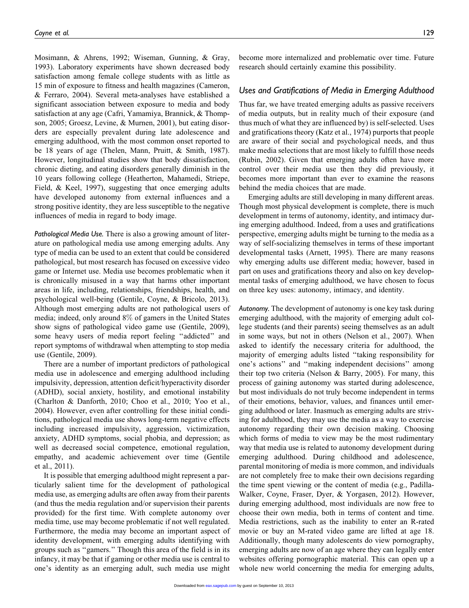Mosimann, & Ahrens, 1992; Wiseman, Gunning, & Gray, 1993). Laboratory experiments have shown decreased body satisfaction among female college students with as little as 15 min of exposure to fitness and health magazines (Cameron, & Ferraro, 2004). Several meta-analyses have established a significant association between exposure to media and body satisfaction at any age (Cafri, Yamamiya, Brannick, & Thompson, 2005; Groesz, Levine, & Murnen, 2001), but eating disorders are especially prevalent during late adolescence and emerging adulthood, with the most common onset reported to be 18 years of age (Thelen, Mann, Pruitt, & Smith, 1987). However, longitudinal studies show that body dissatisfaction, chronic dieting, and eating disorders generally diminish in the 10 years following college (Heatherton, Mahamedi, Striepe, Field, & Keel, 1997), suggesting that once emerging adults have developed autonomy from external influences and a strong positive identity, they are less susceptible to the negative influences of media in regard to body image.

Pathological Media Use. There is also a growing amount of literature on pathological media use among emerging adults. Any type of media can be used to an extent that could be considered pathological, but most research has focused on excessive video game or Internet use. Media use becomes problematic when it is chronically misused in a way that harms other important areas in life, including, relationships, friendships, health, and psychological well-being (Gentile, Coyne, & Bricolo, 2013). Although most emerging adults are not pathological users of media; indeed, only around 8% of gamers in the United States show signs of pathological video game use (Gentile, 2009), some heavy users of media report feeling ''addicted'' and report symptoms of withdrawal when attempting to stop media use (Gentile, 2009).

There are a number of important predictors of pathological media use in adolescence and emerging adulthood including impulsivity, depression, attention deficit/hyperactivity disorder (ADHD), social anxiety, hostility, and emotional instability (Charlton & Danforth, 2010; Choo et al., 2010; Yoo et al., 2004). However, even after controlling for these initial conditions, pathological media use shows long-term negative effects including increased impulsivity, aggression, victimization, anxiety, ADHD symptoms, social phobia, and depression; as well as decreased social competence, emotional regulation, empathy, and academic achievement over time (Gentile et al., 2011).

It is possible that emerging adulthood might represent a particularly salient time for the development of pathological media use, as emerging adults are often away from their parents (and thus the media regulation and/or supervision their parents provided) for the first time. With complete autonomy over media time, use may become problematic if not well regulated. Furthermore, the media may become an important aspect of identity development, with emerging adults identifying with groups such as ''gamers.'' Though this area of the field is in its infancy, it may be that if gaming or other media use is central to one's identity as an emerging adult, such media use might

become more internalized and problematic over time. Future research should certainly examine this possibility.

### Uses and Gratifications of Media in Emerging Adulthood

Thus far, we have treated emerging adults as passive receivers of media outputs, but in reality much of their exposure (and thus much of what they are influenced by) is self-selected. Uses and gratifications theory (Katz et al., 1974) purports that people are aware of their social and psychological needs, and thus make media selections that are most likely to fulfill those needs (Rubin, 2002). Given that emerging adults often have more control over their media use then they did previously, it becomes more important than ever to examine the reasons behind the media choices that are made.

Emerging adults are still developing in many different areas. Though most physical development is complete, there is much development in terms of autonomy, identity, and intimacy during emerging adulthood. Indeed, from a uses and gratifications perspective, emerging adults might be turning to the media as a way of self-socializing themselves in terms of these important developmental tasks (Arnett, 1995). There are many reasons why emerging adults use different media; however, based in part on uses and gratifications theory and also on key developmental tasks of emerging adulthood, we have chosen to focus on three key uses: autonomy, intimacy, and identity.

Autonomy. The development of autonomy is one key task during emerging adulthood, with the majority of emerging adult college students (and their parents) seeing themselves as an adult in some ways, but not in others (Nelson et al., 2007). When asked to identify the necessary criteria for adulthood, the majority of emerging adults listed ''taking responsibility for one's actions'' and ''making independent decisions'' among their top two criteria (Nelson & Barry, 2005). For many, this process of gaining autonomy was started during adolescence, but most individuals do not truly become independent in terms of their emotions, behavior, values, and finances until emerging adulthood or later. Inasmuch as emerging adults are striving for adulthood, they may use the media as a way to exercise autonomy regarding their own decision making. Choosing which forms of media to view may be the most rudimentary way that media use is related to autonomy development during emerging adulthood. During childhood and adolescence, parental monitoring of media is more common, and individuals are not completely free to make their own decisions regarding the time spent viewing or the content of media (e.g., Padilla-Walker, Coyne, Fraser, Dyer, & Yorgasen, 2012). However, during emerging adulthood, most individuals are now free to choose their own media, both in terms of content and time. Media restrictions, such as the inability to enter an R-rated movie or buy an M-rated video game are lifted at age 18. Additionally, though many adolescents do view pornography, emerging adults are now of an age where they can legally enter websites offering pornographic material. This can open up a whole new world concerning the media for emerging adults,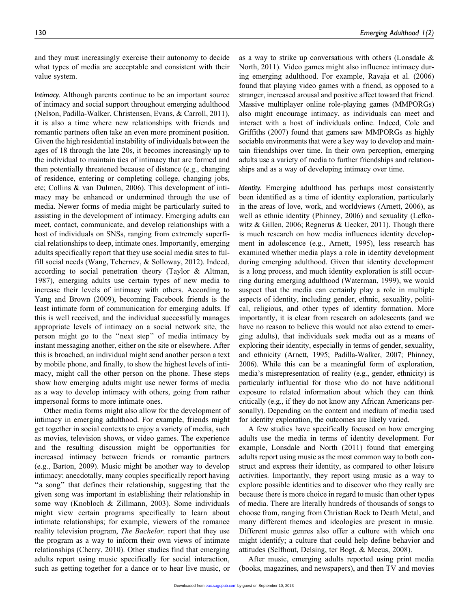and they must increasingly exercise their autonomy to decide what types of media are acceptable and consistent with their value system.

Intimacy. Although parents continue to be an important source of intimacy and social support throughout emerging adulthood (Nelson, Padilla-Walker, Christensen, Evans, & Carroll, 2011), it is also a time where new relationships with friends and romantic partners often take an even more prominent position. Given the high residential instability of individuals between the ages of 18 through the late 20s, it becomes increasingly up to the individual to maintain ties of intimacy that are formed and then potentially threatened because of distance (e.g., changing of residence, entering or completing college, changing jobs, etc; Collins & van Dulmen, 2006). This development of intimacy may be enhanced or undermined through the use of media. Newer forms of media might be particularly suited to assisting in the development of intimacy. Emerging adults can meet, contact, communicate, and develop relationships with a host of individuals on SNSs, ranging from extremely superficial relationships to deep, intimate ones. Importantly, emerging adults specifically report that they use social media sites to fulfill social needs (Wang, Tchernev, & Solloway, 2012). Indeed, according to social penetration theory (Taylor & Altman, 1987), emerging adults use certain types of new media to increase their levels of intimacy with others. According to Yang and Brown (2009), becoming Facebook friends is the least intimate form of communication for emerging adults. If this is well received, and the individual successfully manages appropriate levels of intimacy on a social network site, the person might go to the ''next step'' of media intimacy by instant messaging another, either on the site or elsewhere. After this is broached, an individual might send another person a text by mobile phone, and finally, to show the highest levels of intimacy, might call the other person on the phone. These steps show how emerging adults might use newer forms of media as a way to develop intimacy with others, going from rather impersonal forms to more intimate ones.

Other media forms might also allow for the development of intimacy in emerging adulthood. For example, friends might get together in social contexts to enjoy a variety of media, such as movies, television shows, or video games. The experience and the resulting discussion might be opportunities for increased intimacy between friends or romantic partners (e.g., Barton, 2009). Music might be another way to develop intimacy; anecdotally, many couples specifically report having "a song" that defines their relationship, suggesting that the given song was important in establishing their relationship in some way (Knobloch & Zillmann, 2003). Some individuals might view certain programs specifically to learn about intimate relationships; for example, viewers of the romance reality television program, *The Bachelor*, report that they use the program as a way to inform their own views of intimate relationships (Cherry, 2010). Other studies find that emerging adults report using music specifically for social interaction, such as getting together for a dance or to hear live music, or

as a way to strike up conversations with others (Lonsdale & North, 2011). Video games might also influence intimacy during emerging adulthood. For example, Ravaja et al. (2006) found that playing video games with a friend, as opposed to a stranger, increased arousal and positive affect toward that friend. Massive multiplayer online role-playing games (MMPORGs) also might encourage intimacy, as individuals can meet and interact with a host of individuals online. Indeed, Cole and Griffiths (2007) found that gamers saw MMPORGs as highly sociable environments that were a key way to develop and maintain friendships over time. In their own perception, emerging adults use a variety of media to further friendships and relationships and as a way of developing intimacy over time.

Identity. Emerging adulthood has perhaps most consistently been identified as a time of identity exploration, particularly in the areas of love, work, and worldviews (Arnett, 2006), as well as ethnic identity (Phinney, 2006) and sexuality (Lefkowitz & Gillen, 2006; Regnerus & Uecker, 2011). Though there is much research on how media influences identity development in adolescence (e.g., Arnett, 1995), less research has examined whether media plays a role in identity development during emerging adulthood. Given that identity development is a long process, and much identity exploration is still occurring during emerging adulthood (Waterman, 1999), we would suspect that the media can certainly play a role in multiple aspects of identity, including gender, ethnic, sexuality, political, religious, and other types of identity formation. More importantly, it is clear from research on adolescents (and we have no reason to believe this would not also extend to emerging adults), that individuals seek media out as a means of exploring their identity, especially in terms of gender, sexuality, and ethnicity (Arnett, 1995; Padilla-Walker, 2007; Phinney, 2006). While this can be a meaningful form of exploration, media's misrepresentation of reality (e.g., gender, ethnicity) is particularly influential for those who do not have additional exposure to related information about which they can think critically (e.g., if they do not know any African Americans personally). Depending on the content and medium of media used for identity exploration, the outcomes are likely varied.

A few studies have specifically focused on how emerging adults use the media in terms of identity development. For example, Lonsdale and North (2011) found that emerging adults report using music as the most common way to both construct and express their identity, as compared to other leisure activities. Importantly, they report using music as a way to explore possible identities and to discover who they really are because there is more choice in regard to music than other types of media. There are literally hundreds of thousands of songs to choose from, ranging from Christian Rock to Death Metal, and many different themes and ideologies are present in music. Different music genres also offer a culture with which one might identify; a culture that could help define behavior and attitudes (Selfhout, Delsing, ter Bogt, & Meeus, 2008).

After music, emerging adults reported using print media (books, magazines, and newspapers), and then TV and movies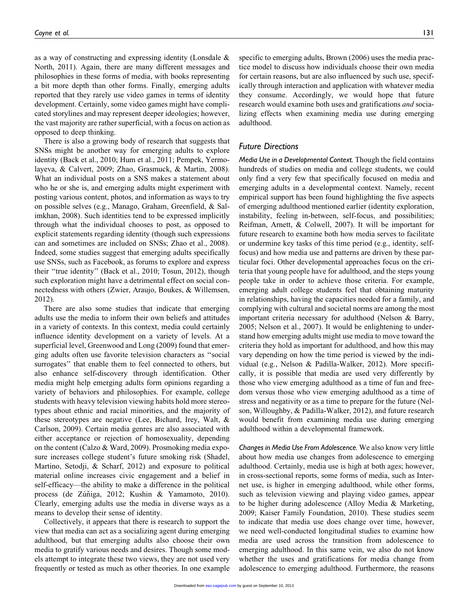as a way of constructing and expressing identity (Lonsdale & North, 2011). Again, there are many different messages and philosophies in these forms of media, with books representing a bit more depth than other forms. Finally, emerging adults reported that they rarely use video games in terms of identity development. Certainly, some video games might have complicated storylines and may represent deeper ideologies; however, the vast majority are rather superficial, with a focus on action as opposed to deep thinking.

There is also a growing body of research that suggests that SNSs might be another way for emerging adults to explore identity (Back et al., 2010; Hum et al., 2011; Pempek, Yermolayeva, & Calvert, 2009; Zhao, Grasmuck, & Martin, 2008). What an individual posts on a SNS makes a statement about who he or she is, and emerging adults might experiment with posting various content, photos, and information as ways to try on possible selves (e.g., Manago, Graham, Greenfield, & Salimkhan, 2008). Such identities tend to be expressed implicitly through what the individual chooses to post, as opposed to explicit statements regarding identity (though such expressions can and sometimes are included on SNSs; Zhao et al., 2008). Indeed, some studies suggest that emerging adults specifically use SNSs, such as Facebook, as forums to explore and express their ''true identity'' (Back et al., 2010; Tosun, 2012), though such exploration might have a detrimental effect on social connectedness with others (Zwier, Araujo, Boukes, & Willemsen, 2012).

There are also some studies that indicate that emerging adults use the media to inform their own beliefs and attitudes in a variety of contexts. In this context, media could certainly influence identity development on a variety of levels. At a superficial level, Greenwood and Long (2009) found that emerging adults often use favorite television characters as ''social surrogates'' that enable them to feel connected to others, but also enhance self-discovery through identification. Other media might help emerging adults form opinions regarding a variety of behaviors and philosophies. For example, college students with heavy television viewing habits hold more stereotypes about ethnic and racial minorities, and the majority of these stereotypes are negative (Lee, Bichard, Irey, Walt, & Carlson, 2009). Certain media genres are also associated with either acceptance or rejection of homosexuality, depending on the content (Calzo & Ward, 2009). Prosmoking media exposure increases college student's future smoking risk (Shadel, Martino, Setodji, & Scharf, 2012) and exposure to political material online increases civic engagement and a belief in self-efficacy—the ability to make a difference in the political process (de Zúñiga, 2012; Kushin & Yamamoto, 2010). Clearly, emerging adults use the media in diverse ways as a means to develop their sense of identity.

Collectively, it appears that there is research to support the view that media can act as a socializing agent during emerging adulthood, but that emerging adults also choose their own media to gratify various needs and desires. Though some models attempt to integrate these two views, they are not used very frequently or tested as much as other theories. In one example

specific to emerging adults, Brown (2006) uses the media practice model to discuss how individuals choose their own media for certain reasons, but are also influenced by such use, specifically through interaction and application with whatever media they consume. Accordingly, we would hope that future research would examine both uses and gratifications *and* socializing effects when examining media use during emerging adulthood.

## Future Directions

Media Use in a Developmental Context. Though the field contains hundreds of studies on media and college students, we could only find a very few that specifically focused on media and emerging adults in a developmental context. Namely, recent empirical support has been found highlighting the five aspects of emerging adulthood mentioned earlier (identity exploration, instability, feeling in-between, self-focus, and possibilities; Reifman, Arnett, & Colwell, 2007). It will be important for future research to examine both how media serves to facilitate or undermine key tasks of this time period (e.g., identity, selffocus) and how media use and patterns are driven by these particular foci. Other developmental approaches focus on the criteria that young people have for adulthood, and the steps young people take in order to achieve those criteria. For example, emerging adult college students feel that obtaining maturity in relationships, having the capacities needed for a family, and complying with cultural and societal norms are among the most important criteria necessary for adulthood (Nelson & Barry, 2005; Nelson et al., 2007). It would be enlightening to understand how emerging adults might use media to move toward the criteria they hold as important for adulthood, and how this may vary depending on how the time period is viewed by the individual (e.g., Nelson & Padilla-Walker, 2012). More specifically, it is possible that media are used very differently by those who view emerging adulthood as a time of fun and freedom versus those who view emerging adulthood as a time of stress and negativity or as a time to prepare for the future (Nelson, Willoughby, & Padilla-Walker, 2012), and future research would benefit from examining media use during emerging adulthood within a developmental framework.

Changes in Media Use From Adolescence. We also know very little about how media use changes from adolescence to emerging adulthood. Certainly, media use is high at both ages; however, in cross-sectional reports, some forms of media, such as Internet use, is higher in emerging adulthood, while other forms, such as television viewing and playing video games, appear to be higher during adolescence (Alloy Media & Marketing, 2009; Kaiser Family Foundation, 2010). These studies seem to indicate that media use does change over time, however, we need well-conducted longitudinal studies to examine how media are used across the transition from adolescence to emerging adulthood. In this same vein, we also do not know whether the uses and gratifications for media change from adolescence to emerging adulthood. Furthermore, the reasons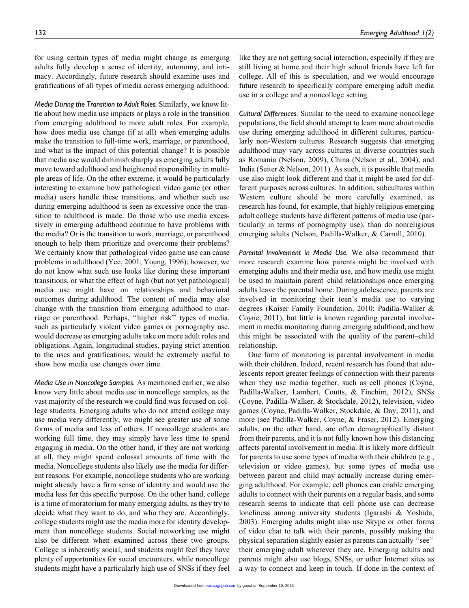for using certain types of media might change as emerging adults fully develop a sense of identity, autonomy, and intimacy. Accordingly, future research should examine uses and gratifications of all types of media across emerging adulthood.

Media During the Transition to Adult Roles. Similarly, we know little about how media use impacts or plays a role in the transition from emerging adulthood to more adult roles. For example, how does media use change (if at all) when emerging adults make the transition to full-time work, marriage, or parenthood, and what is the impact of this potential change? It is possible that media use would diminish sharply as emerging adults fully move toward adulthood and heightened responsibility in multiple areas of life. On the other extreme, it would be particularly interesting to examine how pathological video game (or other media) users handle these transitions, and whether such use during emerging adulthood is seen as excessive once the transition to adulthood is made. Do those who use media excessively in emerging adulthood continue to have problems with the media? Or is the transition to work, marriage, or parenthood enough to help them prioritize and overcome their problems? We certainly know that pathological video game use can cause problems in adulthood (Yee, 2001; Young, 1996); however, we do not know what such use looks like during these important transitions, or what the effect of high (but not yet pathological) media use might have on relationships and behavioral outcomes during adulthood. The content of media may also change with the transition from emerging adulthood to marriage or parenthood. Perhaps, ''higher risk'' types of media, such as particularly violent video games or pornography use, would decrease as emerging adults take on more adult roles and obligations. Again, longitudinal studies, paying strict attention to the uses and gratifications, would be extremely useful to show how media use changes over time.

Media Use in Noncollege Samples. As mentioned earlier, we also know very little about media use in noncollege samples, as the vast majority of the research we could find was focused on college students. Emerging adults who do not attend college may use media very differently; we might see greater use of some forms of media and less of others. If noncollege students are working full time, they may simply have less time to spend engaging in media. On the other hand, if they are not working at all, they might spend colossal amounts of time with the media. Noncollege students also likely use the media for different reasons. For example, noncollege students who are working might already have a firm sense of identity and would use the media less for this specific purpose. On the other hand, college is a time of moratorium for many emerging adults, as they try to decide what they want to do, and who they are. Accordingly, college students might use the media more for identity development than noncollege students. Social networking use might also be different when examined across these two groups. College is inherently social, and students might feel they have plenty of opportunities for social encounters, while noncollege students might have a particularly high use of SNSs if they feel

like they are not getting social interaction, especially if they are still living at home and their high school friends have left for college. All of this is speculation, and we would encourage future research to specifically compare emerging adult media use in a college and a noncollege setting.

Cultural Differences. Similar to the need to examine noncollege populations, the field should attempt to learn more about media use during emerging adulthood in different cultures, particularly non-Western cultures. Research suggests that emerging adulthood may vary across cultures in diverse countries such as Romania (Nelson, 2009), China (Nelson et al., 2004), and India (Seiter & Nelson, 2011). As such, it is possible that media use also might look different and that it might be used for different purposes across cultures. In addition, subcultures within Western culture should be more carefully examined, as research has found, for example, that highly religious emerging adult college students have different patterns of media use (particularly in terms of pornography use), than do nonreligious emerging adults (Nelson, Padilla-Walker, & Carroll, 2010).

Parental Involvement in Media Use. We also recommend that more research examine how parents might be involved with emerging adults and their media use, and how media use might be used to maintain parent–child relationships once emerging adults leave the parental home. During adolescence, parents are involved in monitoring their teen's media use to varying degrees (Kaiser Family Foundation, 2010; Padilla-Walker & Coyne, 2011), but little is known regarding parental involvement in media monitoring during emerging adulthood, and how this might be associated with the quality of the parent–child relationship.

One form of monitoring is parental involvement in media with their children. Indeed, recent research has found that adolescents report greater feelings of connection with their parents when they use media together, such as cell phones (Coyne, Padilla-Walker, Lambert, Coutts, & Finchim, 2012), SNSs (Coyne, Padilla-Walker, & Stockdale, 2012), television, video games (Coyne, Padilla-Walker, Stockdale, & Day, 2011), and more (see Padilla-Walker, Coyne, & Fraser, 2012). Emerging adults, on the other hand, are often demographically distant from their parents, and it is not fully known how this distancing affects parental involvement in media. It is likely more difficult for parents to use some types of media with their children (e.g., television or video games), but some types of media use between parent and child may actually increase during emerging adulthood. For example, cell phones can enable emerging adults to connect with their parents on a regular basis, and some research seems to indicate that cell phone use can decrease loneliness among university students (Igarashi & Yoshida, 2003). Emerging adults might also use Skype or other forms of video chat to talk with their parents, possibly making the physical separation slightly easier as parents can actually ''see'' their emerging adult wherever they are. Emerging adults and parents might also use blogs, SNSs, or other Internet sites as a way to connect and keep in touch. If done in the context of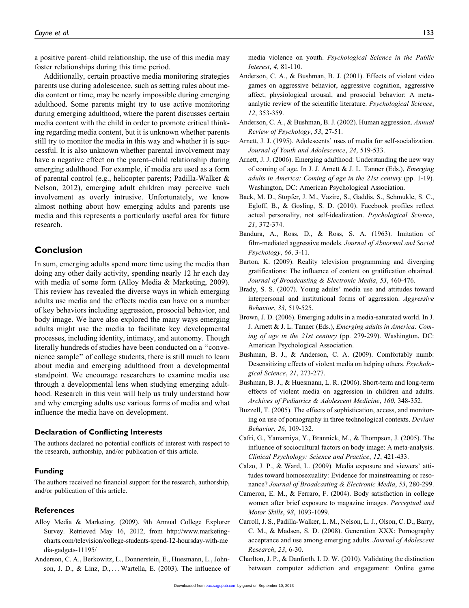a positive parent–child relationship, the use of this media may foster relationships during this time period.

Additionally, certain proactive media monitoring strategies parents use during adolescence, such as setting rules about media content or time, may be nearly impossible during emerging adulthood. Some parents might try to use active monitoring during emerging adulthood, where the parent discusses certain media content with the child in order to promote critical thinking regarding media content, but it is unknown whether parents still try to monitor the media in this way and whether it is successful. It is also unknown whether parental involvement may have a negative effect on the parent–child relationship during emerging adulthood. For example, if media are used as a form of parental control (e.g., helicopter parents; Padilla-Walker & Nelson, 2012), emerging adult children may perceive such involvement as overly intrusive. Unfortunately, we know almost nothing about how emerging adults and parents use media and this represents a particularly useful area for future research.

## Conclusion

In sum, emerging adults spend more time using the media than doing any other daily activity, spending nearly 12 hr each day with media of some form (Alloy Media & Marketing, 2009). This review has revealed the diverse ways in which emerging adults use media and the effects media can have on a number of key behaviors including aggression, prosocial behavior, and body image. We have also explored the many ways emerging adults might use the media to facilitate key developmental processes, including identity, intimacy, and autonomy. Though literally hundreds of studies have been conducted on a ''convenience sample'' of college students, there is still much to learn about media and emerging adulthood from a developmental standpoint. We encourage researchers to examine media use through a developmental lens when studying emerging adulthood. Research in this vein will help us truly understand how and why emerging adults use various forms of media and what influence the media have on development.

#### Declaration of Conflicting Interests

The authors declared no potential conflicts of interest with respect to the research, authorship, and/or publication of this article.

#### Funding

The authors received no financial support for the research, authorship, and/or publication of this article.

#### **References**

- Alloy Media & Marketing. (2009). 9th Annual College Explorer Survey. Retrieved May 16, 2012, from [http://www.marketing](http://www.marketingcharts.com/television/college-students-spend-12-hoursday-with-media-gadgets-11195/)[charts.com/television/college-students-spend-12-hoursday-with-me](http://www.marketingcharts.com/television/college-students-spend-12-hoursday-with-media-gadgets-11195/) [dia-gadgets-11195/](http://www.marketingcharts.com/television/college-students-spend-12-hoursday-with-media-gadgets-11195/)
- Anderson, C. A., Berkowitz, L., Donnerstein, E., Huesmann, L., Johnson, J. D., & Linz, D., ... Wartella, E. (2003). The influence of

media violence on youth. Psychological Science in the Public Interest, 4, 81-110.

- Anderson, C. A., & Bushman, B. J. (2001). Effects of violent video games on aggressive behavior, aggressive cognition, aggressive affect, physiological arousal, and prosocial behavior: A metaanalytic review of the scientific literature. Psychological Science, 12, 353-359.
- Anderson, C. A., & Bushman, B. J. (2002). Human aggression. Annual Review of Psychology, 53, 27-51.
- Arnett, J. J. (1995). Adolescents' uses of media for self-socialization. Journal of Youth and Adolescence, 24, 519-533.
- Arnett, J. J. (2006). Emerging adulthood: Understanding the new way of coming of age. In J. J. Arnett & J. L. Tanner (Eds.), Emerging adults in America: Coming of age in the 21st century (pp. 1-19). Washington, DC: American Psychological Association.
- Back, M. D., Stopfer, J. M., Vazire, S., Gaddis, S., Schmukle, S. C., Egloff, B., & Gosling, S. D. (2010). Facebook profiles reflect actual personality, not self-idealization. Psychological Science, 21, 372-374.
- Bandura, A., Ross, D., & Ross, S. A. (1963). Imitation of film-mediated aggressive models. Journal of Abnormal and Social Psychology, 66, 3-11.
- Barton, K. (2009). Reality television programming and diverging gratifications: The influence of content on gratification obtained. Journal of Broadcasting & Electronic Media, 53, 460-476.
- Brady, S. S. (2007). Young adults' media use and attitudes toward interpersonal and institutional forms of aggression. Aggressive Behavior, 33, 519-525.
- Brown, J. D. (2006). Emerging adults in a media-saturated world. In J. J. Arnett & J. L. Tanner (Eds.), Emerging adults in America: Coming of age in the 21st century (pp. 279-299). Washington, DC: American Psychological Association.
- Bushman, B. J., & Anderson, C. A. (2009). Comfortably numb: Desensitizing effects of violent media on helping others. *Psycholo*gical Science, 21, 273-277.
- Bushman, B. J., & Huesmann, L. R. (2006). Short-term and long-term effects of violent media on aggression in children and adults. Archives of Pediatrics & Adolescent Medicine, 160, 348-352.
- Buzzell, T. (2005). The effects of sophistication, access, and monitoring on use of pornography in three technological contexts. Deviant Behavior, 26, 109-132.
- Cafri, G., Yamamiya, Y., Brannick, M., & Thompson, J. (2005). The influence of sociocultural factors on body image: A meta-analysis. Clinical Psychology: Science and Practice, 12, 421-433.
- Calzo, J. P., & Ward, L. (2009). Media exposure and viewers' attitudes toward homosexuality: Evidence for mainstreaming or resonance? Journal of Broadcasting & Electronic Media, 53, 280-299.
- Cameron, E. M., & Ferraro, F. (2004). Body satisfaction in college women after brief exposure to magazine images. Perceptual and Motor Skills, 98, 1093-1099.
- Carroll, J. S., Padilla-Walker, L. M., Nelson, L. J., Olson, C. D., Barry, C. M., & Madsen, S. D. (2008). Generation XXX: Pornography acceptance and use among emerging adults. Journal of Adolescent Research, 23, 6-30.
- Charlton, J. P., & Danforth, I. D. W. (2010). Validating the distinction between computer addiction and engagement: Online game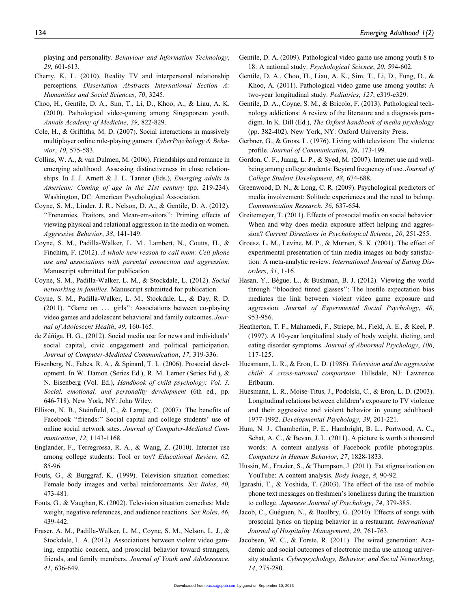playing and personality. Behaviour and Information Technology, 29, 601-613.

- Cherry, K. L. (2010). Reality TV and interpersonal relationship perceptions. Dissertation Abstracts International Section A: Humanities and Social Sciences, 70, 3245.
- Choo, H., Gentile, D. A., Sim, T., Li, D., Khoo, A., & Liau, A. K. (2010). Pathological video-gaming among Singaporean youth. Annals Academy of Medicine, 39, 822-829.
- Cole, H., & Griffiths, M. D. (2007). Social interactions in massively multiplayer online role-playing gamers. CyberPsychology & Behavior, 10, 575-583.
- Collins, W. A., & van Dulmen, M. (2006). Friendships and romance in emerging adulthood: Assessing distinctiveness in close relationships. In J. J. Arnett & J. L. Tanner (Eds.), Emerging adults in American: Coming of age in the 21st century (pp. 219-234). Washington, DC: American Psychological Association.
- Coyne, S. M., Linder, J. R., Nelson, D. A., & Gentile, D. A. (2012). "Frenemies, Fraitors, and Mean-em-aitors": Priming effects of viewing physical and relational aggression in the media on women. Aggressive Behavior, 38, 141-149.
- Coyne, S. M., Padilla-Walker, L. M., Lambert, N., Coutts, H., & Finchim, F. (2012). A whole new reason to call mom: Cell phone use and associations with parental connection and aggression. Manuscript submitted for publication.
- Coyne, S. M., Padilla-Walker, L. M., & Stockdale, L. (2012). Social networking in families. Manuscript submitted for publication.
- Coyne, S. M., Padilla-Walker, L. M., Stockdale, L., & Day, R. D. (2011). "Game on ... girls": Associations between co-playing video games and adolescent behavioral and family outcomes. Journal of Adolescent Health, 49, 160-165.
- de Zúñiga, H. G., (2012). Social media use for news and individuals' social capital, civic engagement and political participation. Journal of Computer-Mediated Communication, 17, 319-336.
- Eisenberg, N., Fabes, R. A., & Spinard, T. L. (2006). Prosocial development. In W. Damon (Series Ed.), R. M. Lerner (Series Ed.), & N. Eisenberg (Vol. Ed.), Handbook of child psychology: Vol. 3. Social, emotional, and personality development (6th ed., pp. 646-718). New York, NY: John Wiley.
- Ellison, N. B., Steinfield, C., & Lampe, C. (2007). The benefits of Facebook ''friends:'' Social capital and college students' use of online social network sites. Journal of Computer-Mediated Communication, 12, 1143-1168.
- Englander, F., Terregrossa, R. A., & Wang, Z. (2010). Internet use among college students: Tool or toy? Educational Review, 62, 85-96.
- Fouts, G., & Burggraf, K. (1999). Television situation comedies: Female body images and verbal reinforcements. Sex Roles, 40, 473-481.
- Fouts, G., & Vaughan, K. (2002). Television situation comedies: Male weight, negative references, and audience reactions. Sex Roles, 46, 439-442.
- Fraser, A. M., Padilla-Walker, L. M., Coyne, S. M., Nelson, L. J., & Stockdale, L. A. (2012). Associations between violent video gaming, empathic concern, and prosocial behavior toward strangers, friends, and family members. Journal of Youth and Adolescence, 41, 636-649.
- Gentile, D. A. (2009). Pathological video game use among youth 8 to 18: A national study. Psychological Science, 20, 594-602.
- Gentile, D. A., Choo, H., Liau, A. K., Sim, T., Li, D., Fung, D., & Khoo, A. (2011). Pathological video game use among youths: A two-year longitudinal study. Pediatrics, 127, e319-e329.
- Gentile, D. A., Coyne, S. M., & Bricolo, F. (2013). Pathological technology addictions: A review of the literature and a diagnosis paradigm. In K. Dill (Ed.), The Oxford handbook of media psychology (pp. 382-402). New York, NY: Oxford University Press.
- Gerbner, G., & Gross, L. (1976). Living with television: The violence profile. Journal of Communication, 26, 173-199.
- Gordon, C. F., Juang, L. P., & Syed, M. (2007). Internet use and wellbeing among college students: Beyond frequency of use. Journal of College Student Development, 48, 674-688.
- Greenwood, D. N., & Long, C. R. (2009). Psychological predictors of media involvement: Solitude experiences and the need to belong. Communication Research, 36, 637-654.
- Greitemeyer, T. (2011). Effects of prosocial media on social behavior: When and why does media exposure affect helping and aggression? Current Directions in Psychological Science, 20, 251-255.
- Groesz, L. M., Levine, M. P., & Murnen, S. K. (2001). The effect of experimental presentation of thin media images on body satisfaction: A meta-analytic review. International Journal of Eating Disorders, 31, 1-16.
- Hasan, Y., Bègue, L., & Bushman, B. J. (2012). Viewing the world through ''bloodred tinted glasses'': The hostile expectation bias mediates the link between violent video game exposure and aggression. Journal of Experimental Social Psychology, 48, 953-956.
- Heatherton, T. F., Mahamedi, F., Striepe, M., Field, A. E., & Keel, P. (1997). A 10-year longitudinal study of body weight, dieting, and eating disorder symptoms. Journal of Abnormal Psychology, 106, 117-125.
- Huesmann, L. R., & Eron, L. D. (1986). Television and the aggressive child: A cross-national comparison. Hillsdale, NJ: Lawrence Erlbaum.
- Huesmann, L. R., Moise-Titus, J., Podolski, C., & Eron, L. D. (2003). Longitudinal relations between children's exposure to TV violence and their aggressive and violent behavior in young adulthood: 1977-1992. Developmental Psychology, 39, 201-221.
- Hum, N. J., Chamberlin, P. E., Hambright, B. L., Portwood, A. C., Schat, A. C., & Bevan, J. L. (2011). A picture is worth a thousand words: A content analysis of Facebook profile photographs. Computers in Human Behavior, 27, 1828-1833.
- Hussin, M., Frazier, S., & Thompson, J. (2011). Fat stigmatization on YouTube: A content analysis. *Body Image*, 8, 90-92.
- Igarashi, T., & Yoshida, T. (2003). The effect of the use of mobile phone text messages on freshmen's loneliness during the transition to college. Japanese Journal of Psychology, 74, 379-385.
- Jacob, C., Guéguen, N., & Boulbry, G. (2010). Effects of songs with prosocial lyrics on tipping behavior in a restaurant. International Journal of Hospitality Management, 29, 761-763.
- Jacobsen, W. C., & Forste, R. (2011). The wired generation: Academic and social outcomes of electronic media use among university students. Cyberpsychology, Behavior, and Social Networking, 14, 275-280.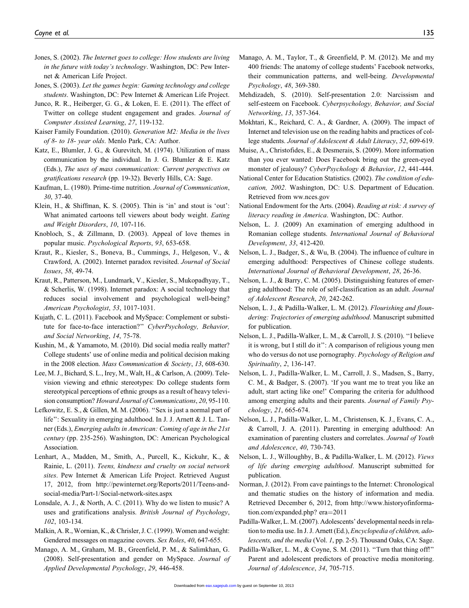- Jones, S. (2002). The Internet goes to college: How students are living in the future with today's technology. Washington, DC: Pew Internet & American Life Project.
- Jones, S. (2003). Let the games begin: Gaming technology and college students. Washington, DC: Pew Internet & American Life Project.
- Junco, R. R., Heiberger, G. G., & Loken, E. E. (2011). The effect of Twitter on college student engagement and grades. Journal of Computer Assisted Learning, 27, 119-132.
- Kaiser Family Foundation. (2010). Generation M2: Media in the lives of 8- to 18- year olds. Menlo Park, CA: Author.
- Katz, E., Blumler, J. G., & Gurevitch, M. (1974). Utilization of mass communication by the individual. In J. G. Blumler & E. Katz (Eds.), The uses of mass communication: Current perspectives on gratifications research (pp. 19-32). Beverly Hills, CA: Sage.
- Kaufman, L. (1980). Prime-time nutrition. Journal of Communication, 30, 37-40.
- Klein, H., & Shiffman, K. S. (2005). Thin is 'in' and stout is 'out': What animated cartoons tell viewers about body weight. Eating and Weight Disorders, 10, 107-116.
- Knobloch, S., & Zillmann, D. (2003). Appeal of love themes in popular music. Psychological Reports, 93, 653-658.
- Kraut, R., Kiesler, S., Boneva, B., Cummings, J., Helgeson, V., & Crawford, A. (2002). Internet paradox revisited. Journal of Social Issues, 58, 49-74.
- Kraut, R., Patterson, M., Lundmark, V., Kiesler, S., Mukopadhyay, T., & Scherlis, W. (1998). Internet paradox: A social technology that reduces social involvement and psychological well-being? American Psychologist, 53, 1017-1031.
- Kujath, C. L. (2011). Facebook and MySpace: Complement or substitute for face-to-face interaction?" CyberPsychology, Behavior, and Social Networking, 14, 75-78.
- Kushin, M., & Yamamoto, M. (2010). Did social media really matter? College students' use of online media and political decision making in the 2008 election. Mass Communication & Society, 13, 608-630.
- Lee, M. J., Bichard, S. L., Irey, M., Walt, H., & Carlson, A. (2009). Television viewing and ethnic stereotypes: Do college students form stereotypical perceptions of ethnic groups as a result of heavy television consumption? Howard Journal of Communications, 20, 95-110.
- Lefkowitz, E. S., & Gillen, M. M. (2006). ''Sex is just a normal part of life'': Sexuality in emerging adulthood. In J. J. Arnett & J. L. Tanner (Eds.), Emerging adults in American: Coming of age in the 21st century (pp. 235-256). Washington, DC: American Psychological Association.
- Lenhart, A., Madden, M., Smith, A., Purcell, K., Kickuhr, K., & Rainie, L. (2011). Teens, kindness and cruelty on social network sites. Pew Internet & American Life Project. Retrieved August 17, 2012, from [http://pewinternet.org/Reports/2011/Teens-and](http://pewinternet.org/Reports/2011/Teens-and-social-media/Part-1/Social-network-sites.aspx)[social-media/Part-1/Social-network-sites.aspx](http://pewinternet.org/Reports/2011/Teens-and-social-media/Part-1/Social-network-sites.aspx)
- Lonsdale, A. J., & North, A. C. (2011). Why do we listen to music? A uses and gratifications analysis. British Journal of Psychology, 102, 103-134.
- Malkin, A. R., Wornian, K., & Chrisler, J. C. (1999). Women and weight: Gendered messages on magazine covers. Sex Roles, 40, 647-655.
- Manago, A. M., Graham, M. B., Greenfield, P. M., & Salimkhan, G. (2008). Self-presentation and gender on MySpace. Journal of Applied Developmental Psychology, 29, 446-458.
- Manago, A. M., Taylor, T., & Greenfield, P. M. (2012). Me and my 400 friends: The anatomy of college students' Facebook networks, their communication patterns, and well-being. Developmental Psychology, 48, 369-380.
- Mehdizadeh, S. (2010). Self-presentation 2.0: Narcissism and self-esteem on Facebook. Cyberpsychology, Behavior, and Social Networking, 13, 357-364.
- Mokhtari, K., Reichard, C. A., & Gardner, A. (2009). The impact of Internet and television use on the reading habits and practices of college students. Journal of Adolescent & Adult Literacy, 52, 609-619.
- Muise, A., Christofides, E., & Desmerais, S. (2009). More information than you ever wanted: Does Facebook bring out the green-eyed monster of jealousy? CyberPsychology & Behavior, 12, 441-444.
- National Center for Education Statistics. (2002). The condition of education, 2002. Washington, DC: U.S. Department of Education. Retrieved from<ww.nces.gov>
- National Endowment for the Arts. (2004). Reading at risk: A survey of literacy reading in America. Washington, DC: Author.
- Nelson, L. J. (2009) An examination of emerging adulthood in Romanian college students. International Journal of Behavioral Development, 33, 412-420.
- Nelson, L. J., Badger, S., & Wu, B. (2004). The influence of culture in emerging adulthood: Perspectives of Chinese college students. International Journal of Behavioral Development, 28, 26-36.
- Nelson, L. J., & Barry, C. M. (2005). Distinguishing features of emerging adulthood: The role of self-classification as an adult. Journal of Adolescent Research, 20, 242-262.
- Nelson, L. J., & Padilla-Walker, L. M. (2012). Flourishing and floundering: Trajectories of emerging adulthood. Manuscript submitted for publication.
- Nelson, L. J., Padilla-Walker, L. M., & Carroll, J. S. (2010). ''I believe it is wrong, but I still do it'': A comparison of religious young men who do versus do not use pornography. Psychology of Religion and Spirituality, 2, 136-147.
- Nelson, L. J., Padilla-Walker, L. M., Carroll, J. S., Madsen, S., Barry, C. M., & Badger, S. (2007). 'If you want me to treat you like an adult, start acting like one!' Comparing the criteria for adulthood among emerging adults and their parents. Journal of Family Psychology, 21, 665-674.
- Nelson, L. J., Padilla-Walker, L. M., Christensen, K. J., Evans, C. A., & Carroll, J. A. (2011). Parenting in emerging adulthood: An examination of parenting clusters and correlates. Journal of Youth and Adolescence, 40, 730-743.
- Nelson, L. J., Willoughby, B., & Padilla-Walker, L. M. (2012). Views of life during emerging adulthood. Manuscript submitted for publication.
- Norman, J. (2012). From cave paintings to the Internet: Chronological and thematic studies on the history of information and media. Retrieved December 6, 2012, from [http://www.historyofinforma](http://www.historyofinformation.com/expanded.php? era=2011)[tion.com/expanded.php? era](http://www.historyofinformation.com/expanded.php? era=2011)=[2011](http://www.historyofinformation.com/expanded.php? era=2011)
- Padilla-Walker, L. M. (2007). Adolescents' developmental needs in relation to media use. In J. J. Arnett (Ed.), Encyclopedia of children, adolescents, and the media (Vol. 1, pp. 2-5). Thousand Oaks, CA: Sage.
- Padilla-Walker, L. M., & Coyne, S. M. (2011). "Turn that thing off!" Parent and adolescent predictors of proactive media monitoring. Journal of Adolescence, 34, 705-715.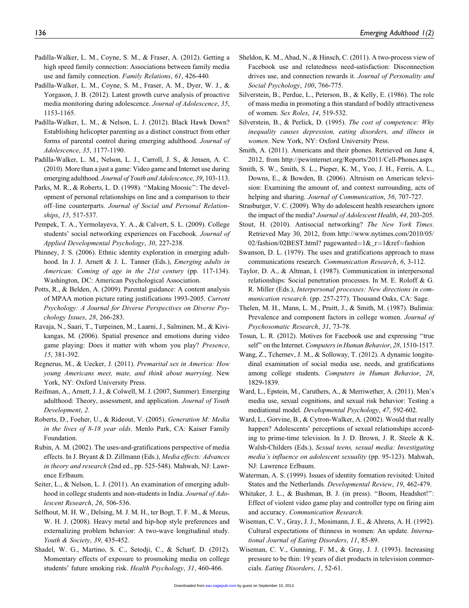- Padilla-Walker, L. M., Coyne, S. M., & Fraser, A. (2012). Getting a high speed family connection: Associations between family media use and family connection. Family Relations, 61, 426-440.
- Padilla-Walker, L. M., Coyne, S. M., Fraser, A. M., Dyer, W. J., & Yorgason, J. B. (2012). Latent growth curve analysis of proactive media monitoring during adolescence. Journal of Adolescence, 35, 1153-1165.
- Padilla-Walker, L. M., & Nelson, L. J. (2012). Black Hawk Down? Establishing helicopter parenting as a distinct construct from other forms of parental control during emerging adulthood. Journal of Adolescence, 35, 1177-1190.
- Padilla-Walker, L. M., Nelson, L. J., Carroll, J. S., & Jensen, A. C. (2010). More than a just a game: Video game and Internet use during emerging adulthood. Journal of Youth and Adolescence, 39, 103-113.
- Parks, M. R., & Roberts, L. D. (1998). "Making Moosic": The development of personal relationships on line and a comparison to their off–line counterparts. Journal of Social and Personal Relationships, 15, 517-537.
- Pempek, T. A., Yermolayeva, Y. A., & Calvert, S. L. (2009). College students' social networking experiences on Facebook. Journal of Applied Developmental Psychology, 30, 227-238.
- Phinney, J. S. (2006). Ethnic identity exploration in emerging adulthood. In J. J. Arnett & J. L. Tanner (Eds.), *Emerging adults in* American: Coming of age in the 21st century (pp. 117-134). Washington, DC: American Psychological Association.
- Potts, R., & Belden, A. (2009). Parental guidance: A content analysis of MPAA motion picture rating justifications 1993-2005. Current Psychology: A Journal for Diverse Perspectives on Diverse Psychology Issues, 28, 266-283.
- Ravaja, N., Saari, T., Turpeinen, M., Laarni, J., Salminen, M., & Kivikangas, M. (2006). Spatial presence and emotions during video game playing: Does it matter with whom you play? Presence, 15, 381-392.
- Regnerus, M., & Uecker, J. (2011). Premarital sex in America: How young Americans meet, mate, and think about marrying. New York, NY: Oxford University Press.
- Reifman, A., Arnett, J. J., & Colwell, M. J. (2007, Summer). Emerging adulthood: Theory, assessment, and application. Journal of Youth Development, 2.
- Roberts, D., Foeher, U., & Rideout, V. (2005). Generation M: Media in the lives of 8-18 year olds. Menlo Park, CA: Kaiser Family Foundation.
- Rubin, A. M. (2002). The uses-and-gratifications perspective of media effects. In J. Bryant & D. Zillmann (Eds.), Media effects: Advances in theory and research (2nd ed., pp. 525-548). Mahwah, NJ: Lawrence Erlbaum.
- Seiter, L., & Nelson, L. J. (2011). An examination of emerging adulthood in college students and non-students in India. Journal of Adolescent Research, 26, 506-536.
- Selfhout, M. H. W., Delsing, M. J. M. H., ter Bogt, T. F. M., & Meeus, W. H. J. (2008). Heavy metal and hip-hop style preferences and externalizing problem behavior: A two-wave longitudinal study. Youth & Society, 39, 435-452.
- Shadel, W. G., Martino, S. C., Setodji, C., & Scharf, D. (2012). Momentary effects of exposure to prosmoking media on college students' future smoking risk. Health Psychology, 31, 460-466.
- Sheldon, K. M., Abad, N., & Hinsch, C. (2011). A two-process view of Facebook use and relatedness need-satisfaction: Disconnection drives use, and connection rewards it. Journal of Personality and Social Psychology, 100, 766-775.
- Silverstein, B., Perdue, L., Peterson, B., & Kelly, E. (1986). The role of mass media in promoting a thin standard of bodily attractiveness of women. Sex Roles, 14, 519-532.
- Silverstein, B., & Perlick, D. (1995). The cost of competence: Why inequality causes depression, eating disorders, and illness in women. New York, NY: Oxford University Press.
- Smith, A. (2011). Americans and their phones. Retrieved on June 4, 2012, from<http://pewinternet.org/Reports/2011/Cell-Phones.aspx>
- Smith, S. W., Smith, S. L., Pieper, K. M., Yoo, J. H., Ferris, A. L., Downs, E., & Bowden, B. (2006). Altruism on American television: Examining the amount of, and context surrounding, acts of helping and sharing. Journal of Communication, 56, 707-727.
- Strasburger, V. C. (2009). Why do adolescent health researchers ignore the impact of the media? Journal of Adolescent Health, 44, 203-205.
- Stout, H. (2010). Antisocial networking? The New York Times. Retrieved May 30, 2012, from [http://www.nytimes.com/2010/05/](http://www.nytimes.com/2010/05/02/fashion/02BEST.html? pagewanted=1&_r=1&ref=fashion) [02/fashion/02BEST.html? pagewanted](http://www.nytimes.com/2010/05/02/fashion/02BEST.html? pagewanted=1&_r=1&ref=fashion)= $1&\mathcal{K}$  r= $1&\mathcal{K}$ ref=[fashion](http://www.nytimes.com/2010/05/02/fashion/02BEST.html? pagewanted=1&_r=1&ref=fashion)
- Swanson, D. L. (1979). The uses and gratifications approach to mass communications research. Communication Research, 6, 3-112.
- Taylor, D. A., & Altman, I. (1987). Communication in interpersonal relationships: Social penetration processes. In M. E. Roloff & G. R. Miller (Eds.), Interpersonal processes: New directions in communication research. (pp. 257-277). Thousand Oaks, CA: Sage.
- Thelen, M. H., Mann, L. M., Pruitt, J., & Smith, M. (1987). Bulimia: Prevalence and component factors in college women. Journal of Psychosomatic Research, 31, 73-78.
- Tosun, L. R. (2012). Motives for Facebook use and expressing ''true self" on the Internet. Computers in Human Behavior, 28, 1510-1517.
- Wang, Z., Tchernev, J. M., & Solloway, T. (2012). A dynamic longitudinal examination of social media use, needs, and gratifications among college students. Computers in Human Behavior, 28, 1829-1839.
- Ward, L., Epstein, M., Caruthers, A., & Merriwether, A. (2011). Men's media use, sexual cognitions, and sexual risk behavior: Testing a mediational model. Developmental Psychology, 47, 592-602.
- Ward, L., Gorvine, B., & Cytron-Walker, A. (2002). Would that really happen? Adolescents' perceptions of sexual relationships according to prime-time television. In J. D. Brown, J. R. Steele & K. Walsh-Childers (Eds.), Sexual teens, sexual media: Investigating media's influence on adolescent sexuality (pp. 95-123). Mahwah, NJ: Lawrence Erlbaum.
- Waterman, A. S. (1999). Issues of identity formation revisited: United States and the Netherlands. Developmental Review, 19, 462-479.
- Whitaker, J. L., & Bushman, B. J. (in press). ''Boom, Headshot!'': Effect of violent video game play and controller type on firing aim and accuracy. Communication Research.
- Wiseman, C. V., Gray, J. J., Mosimann, J. E., & Ahrens, A. H. (1992). Cultural expectations of thinness in women: An update. International Journal of Eating Disorders, 11, 85-89.
- Wiseman, C. V., Gunning, F. M., & Gray, J. J. (1993). Increasing pressure to be thin: 19 years of diet products in television commercials. Eating Disorders, 1, 52-61.